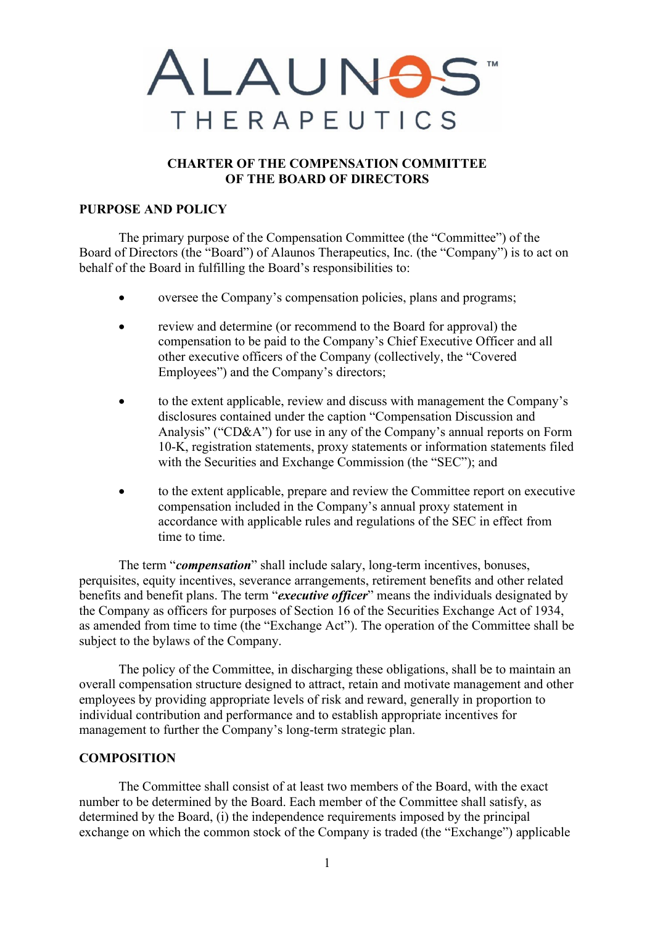

# **CHARTER OF THE COMPENSATION COMMITTEE OF THE BOARD OF DIRECTORS**

### **PURPOSE AND POLICY**

The primary purpose of the Compensation Committee (the "Committee") of the Board of Directors (the "Board") of Alaunos Therapeutics, Inc. (the "Company") is to act on behalf of the Board in fulfilling the Board's responsibilities to:

- oversee the Company's compensation policies, plans and programs;
- review and determine (or recommend to the Board for approval) the compensation to be paid to the Company's Chief Executive Officer and all other executive officers of the Company (collectively, the "Covered Employees") and the Company's directors;
- to the extent applicable, review and discuss with management the Company's disclosures contained under the caption "Compensation Discussion and Analysis" ("CD&A") for use in any of the Company's annual reports on Form 10-K, registration statements, proxy statements or information statements filed with the Securities and Exchange Commission (the "SEC"); and
- to the extent applicable, prepare and review the Committee report on executive compensation included in the Company's annual proxy statement in accordance with applicable rules and regulations of the SEC in effect from time to time.

The term "*compensation*" shall include salary, long-term incentives, bonuses, perquisites, equity incentives, severance arrangements, retirement benefits and other related benefits and benefit plans. The term "*executive officer*" means the individuals designated by the Company as officers for purposes of Section 16 of the Securities Exchange Act of 1934, as amended from time to time (the "Exchange Act"). The operation of the Committee shall be subject to the bylaws of the Company.

The policy of the Committee, in discharging these obligations, shall be to maintain an overall compensation structure designed to attract, retain and motivate management and other employees by providing appropriate levels of risk and reward, generally in proportion to individual contribution and performance and to establish appropriate incentives for management to further the Company's long-term strategic plan.

## **COMPOSITION**

The Committee shall consist of at least two members of the Board, with the exact number to be determined by the Board. Each member of the Committee shall satisfy, as determined by the Board, (i) the independence requirements imposed by the principal exchange on which the common stock of the Company is traded (the "Exchange") applicable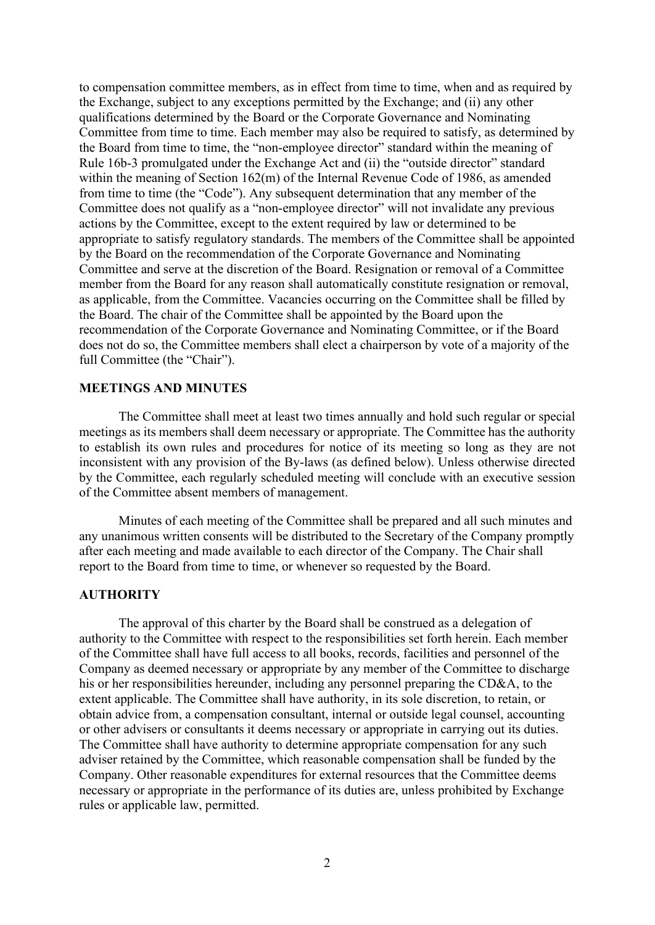to compensation committee members, as in effect from time to time, when and as required by the Exchange, subject to any exceptions permitted by the Exchange; and (ii) any other qualifications determined by the Board or the Corporate Governance and Nominating Committee from time to time. Each member may also be required to satisfy, as determined by the Board from time to time, the "non-employee director" standard within the meaning of Rule 16b-3 promulgated under the Exchange Act and (ii) the "outside director" standard within the meaning of Section 162(m) of the Internal Revenue Code of 1986, as amended from time to time (the "Code"). Any subsequent determination that any member of the Committee does not qualify as a "non-employee director" will not invalidate any previous actions by the Committee, except to the extent required by law or determined to be appropriate to satisfy regulatory standards. The members of the Committee shall be appointed by the Board on the recommendation of the Corporate Governance and Nominating Committee and serve at the discretion of the Board. Resignation or removal of a Committee member from the Board for any reason shall automatically constitute resignation or removal, as applicable, from the Committee. Vacancies occurring on the Committee shall be filled by the Board. The chair of the Committee shall be appointed by the Board upon the recommendation of the Corporate Governance and Nominating Committee, or if the Board does not do so, the Committee members shall elect a chairperson by vote of a majority of the full Committee (the "Chair").

#### **MEETINGS AND MINUTES**

The Committee shall meet at least two times annually and hold such regular or special meetings as its members shall deem necessary or appropriate. The Committee has the authority to establish its own rules and procedures for notice of its meeting so long as they are not inconsistent with any provision of the By-laws (as defined below). Unless otherwise directed by the Committee, each regularly scheduled meeting will conclude with an executive session of the Committee absent members of management.

Minutes of each meeting of the Committee shall be prepared and all such minutes and any unanimous written consents will be distributed to the Secretary of the Company promptly after each meeting and made available to each director of the Company. The Chair shall report to the Board from time to time, or whenever so requested by the Board.

#### **AUTHORITY**

The approval of this charter by the Board shall be construed as a delegation of authority to the Committee with respect to the responsibilities set forth herein. Each member of the Committee shall have full access to all books, records, facilities and personnel of the Company as deemed necessary or appropriate by any member of the Committee to discharge his or her responsibilities hereunder, including any personnel preparing the CD&A, to the extent applicable. The Committee shall have authority, in its sole discretion, to retain, or obtain advice from, a compensation consultant, internal or outside legal counsel, accounting or other advisers or consultants it deems necessary or appropriate in carrying out its duties. The Committee shall have authority to determine appropriate compensation for any such adviser retained by the Committee, which reasonable compensation shall be funded by the Company. Other reasonable expenditures for external resources that the Committee deems necessary or appropriate in the performance of its duties are, unless prohibited by Exchange rules or applicable law, permitted.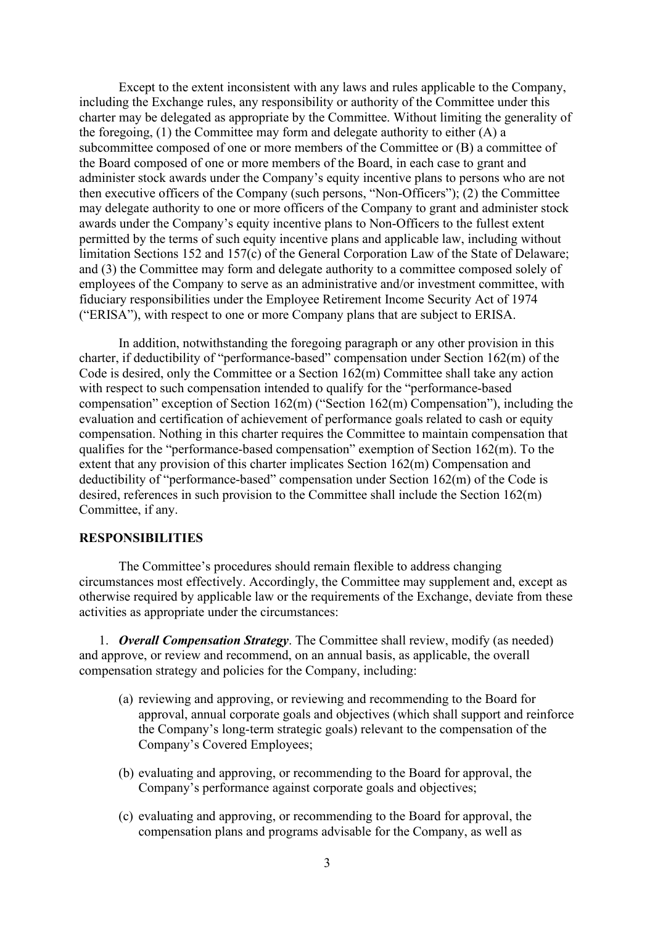Except to the extent inconsistent with any laws and rules applicable to the Company, including the Exchange rules, any responsibility or authority of the Committee under this charter may be delegated as appropriate by the Committee. Without limiting the generality of the foregoing,  $(1)$  the Committee may form and delegate authority to either  $(A)$  a subcommittee composed of one or more members of the Committee or (B) a committee of the Board composed of one or more members of the Board, in each case to grant and administer stock awards under the Company's equity incentive plans to persons who are not then executive officers of the Company (such persons, "Non-Officers"); (2) the Committee may delegate authority to one or more officers of the Company to grant and administer stock awards under the Company's equity incentive plans to Non-Officers to the fullest extent permitted by the terms of such equity incentive plans and applicable law, including without limitation Sections 152 and 157(c) of the General Corporation Law of the State of Delaware; and (3) the Committee may form and delegate authority to a committee composed solely of employees of the Company to serve as an administrative and/or investment committee, with fiduciary responsibilities under the Employee Retirement Income Security Act of 1974 ("ERISA"), with respect to one or more Company plans that are subject to ERISA.

In addition, notwithstanding the foregoing paragraph or any other provision in this charter, if deductibility of "performance-based" compensation under Section 162(m) of the Code is desired, only the Committee or a Section 162(m) Committee shall take any action with respect to such compensation intended to qualify for the "performance-based compensation" exception of Section 162(m) ("Section 162(m) Compensation"), including the evaluation and certification of achievement of performance goals related to cash or equity compensation. Nothing in this charter requires the Committee to maintain compensation that qualifies for the "performance-based compensation" exemption of Section 162(m). To the extent that any provision of this charter implicates Section 162(m) Compensation and deductibility of "performance-based" compensation under Section 162(m) of the Code is desired, references in such provision to the Committee shall include the Section 162(m) Committee, if any.

# **RESPONSIBILITIES**

The Committee's procedures should remain flexible to address changing circumstances most effectively. Accordingly, the Committee may supplement and, except as otherwise required by applicable law or the requirements of the Exchange, deviate from these activities as appropriate under the circumstances:

1. *Overall Compensation Strategy*. The Committee shall review, modify (as needed) and approve, or review and recommend, on an annual basis, as applicable, the overall compensation strategy and policies for the Company, including:

- (a) reviewing and approving, or reviewing and recommending to the Board for approval, annual corporate goals and objectives (which shall support and reinforce the Company's long-term strategic goals) relevant to the compensation of the Company's Covered Employees;
- (b) evaluating and approving, or recommending to the Board for approval, the Company's performance against corporate goals and objectives;
- (c) evaluating and approving, or recommending to the Board for approval, the compensation plans and programs advisable for the Company, as well as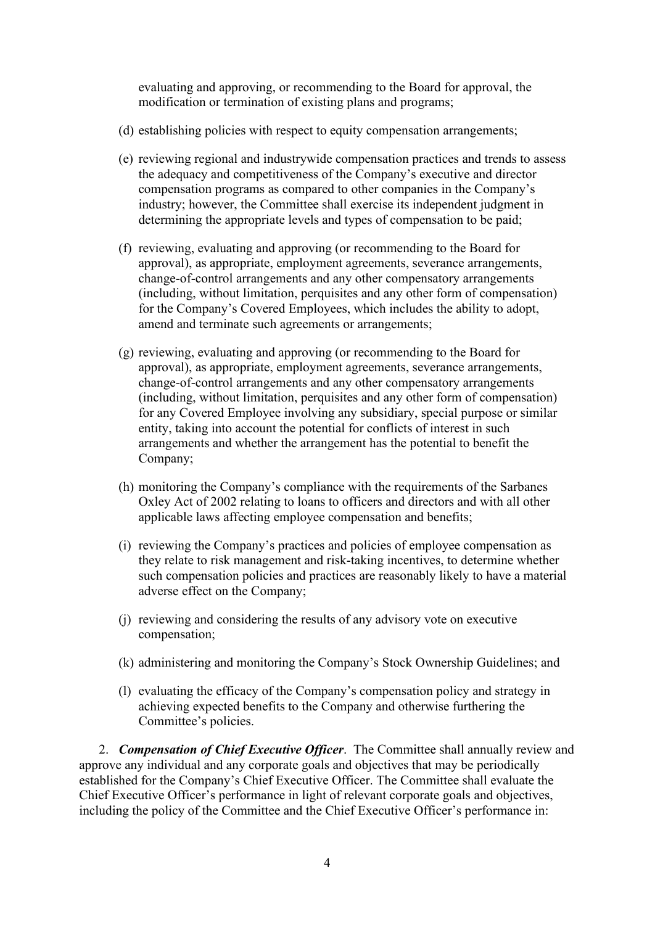evaluating and approving, or recommending to the Board for approval, the modification or termination of existing plans and programs;

- (d) establishing policies with respect to equity compensation arrangements;
- (e) reviewing regional and industrywide compensation practices and trends to assess the adequacy and competitiveness of the Company's executive and director compensation programs as compared to other companies in the Company's industry; however, the Committee shall exercise its independent judgment in determining the appropriate levels and types of compensation to be paid;
- (f) reviewing, evaluating and approving (or recommending to the Board for approval), as appropriate, employment agreements, severance arrangements, change-of-control arrangements and any other compensatory arrangements (including, without limitation, perquisites and any other form of compensation) for the Company's Covered Employees, which includes the ability to adopt, amend and terminate such agreements or arrangements;
- (g) reviewing, evaluating and approving (or recommending to the Board for approval), as appropriate, employment agreements, severance arrangements, change-of-control arrangements and any other compensatory arrangements (including, without limitation, perquisites and any other form of compensation) for any Covered Employee involving any subsidiary, special purpose or similar entity, taking into account the potential for conflicts of interest in such arrangements and whether the arrangement has the potential to benefit the Company;
- (h) monitoring the Company's compliance with the requirements of the Sarbanes Oxley Act of 2002 relating to loans to officers and directors and with all other applicable laws affecting employee compensation and benefits;
- (i) reviewing the Company's practices and policies of employee compensation as they relate to risk management and risk-taking incentives, to determine whether such compensation policies and practices are reasonably likely to have a material adverse effect on the Company;
- (j) reviewing and considering the results of any advisory vote on executive compensation;
- (k) administering and monitoring the Company's Stock Ownership Guidelines; and
- (l) evaluating the efficacy of the Company's compensation policy and strategy in achieving expected benefits to the Company and otherwise furthering the Committee's policies.

2. *Compensation of Chief Executive Officer*. The Committee shall annually review and approve any individual and any corporate goals and objectives that may be periodically established for the Company's Chief Executive Officer. The Committee shall evaluate the Chief Executive Officer's performance in light of relevant corporate goals and objectives, including the policy of the Committee and the Chief Executive Officer's performance in: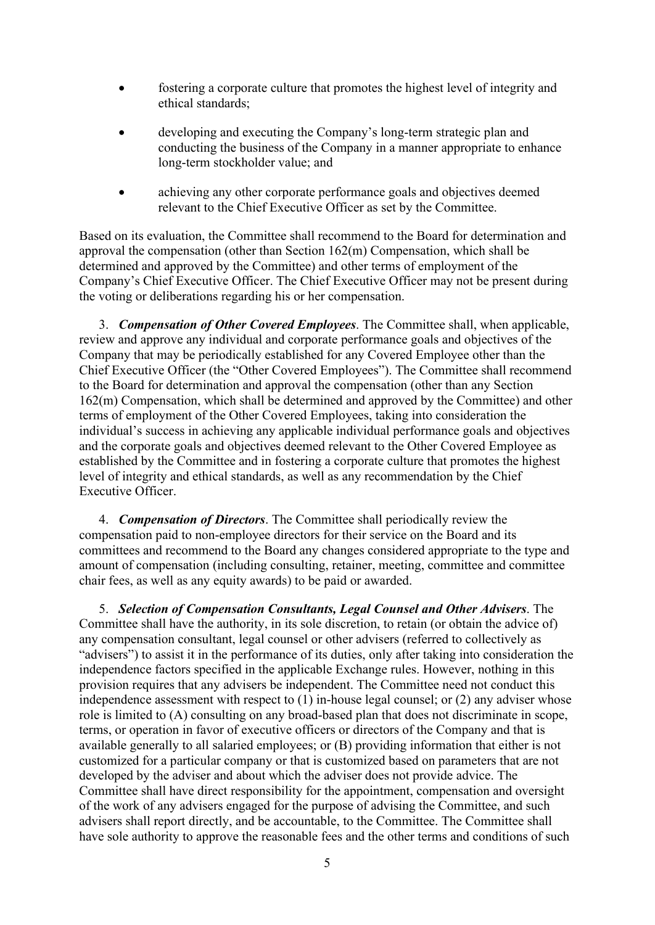- fostering a corporate culture that promotes the highest level of integrity and ethical standards;
- developing and executing the Company's long-term strategic plan and conducting the business of the Company in a manner appropriate to enhance long-term stockholder value; and
- achieving any other corporate performance goals and objectives deemed relevant to the Chief Executive Officer as set by the Committee.

Based on its evaluation, the Committee shall recommend to the Board for determination and approval the compensation (other than Section 162(m) Compensation, which shall be determined and approved by the Committee) and other terms of employment of the Company's Chief Executive Officer. The Chief Executive Officer may not be present during the voting or deliberations regarding his or her compensation.

3. *Compensation of Other Covered Employees*. The Committee shall, when applicable, review and approve any individual and corporate performance goals and objectives of the Company that may be periodically established for any Covered Employee other than the Chief Executive Officer (the "Other Covered Employees"). The Committee shall recommend to the Board for determination and approval the compensation (other than any Section 162(m) Compensation, which shall be determined and approved by the Committee) and other terms of employment of the Other Covered Employees, taking into consideration the individual's success in achieving any applicable individual performance goals and objectives and the corporate goals and objectives deemed relevant to the Other Covered Employee as established by the Committee and in fostering a corporate culture that promotes the highest level of integrity and ethical standards, as well as any recommendation by the Chief Executive Officer.

4. *Compensation of Directors*. The Committee shall periodically review the compensation paid to non-employee directors for their service on the Board and its committees and recommend to the Board any changes considered appropriate to the type and amount of compensation (including consulting, retainer, meeting, committee and committee chair fees, as well as any equity awards) to be paid or awarded.

5. *Selection of Compensation Consultants, Legal Counsel and Other Advisers*. The Committee shall have the authority, in its sole discretion, to retain (or obtain the advice of) any compensation consultant, legal counsel or other advisers (referred to collectively as "advisers") to assist it in the performance of its duties, only after taking into consideration the independence factors specified in the applicable Exchange rules. However, nothing in this provision requires that any advisers be independent. The Committee need not conduct this independence assessment with respect to (1) in-house legal counsel; or (2) any adviser whose role is limited to (A) consulting on any broad-based plan that does not discriminate in scope, terms, or operation in favor of executive officers or directors of the Company and that is available generally to all salaried employees; or (B) providing information that either is not customized for a particular company or that is customized based on parameters that are not developed by the adviser and about which the adviser does not provide advice. The Committee shall have direct responsibility for the appointment, compensation and oversight of the work of any advisers engaged for the purpose of advising the Committee, and such advisers shall report directly, and be accountable, to the Committee. The Committee shall have sole authority to approve the reasonable fees and the other terms and conditions of such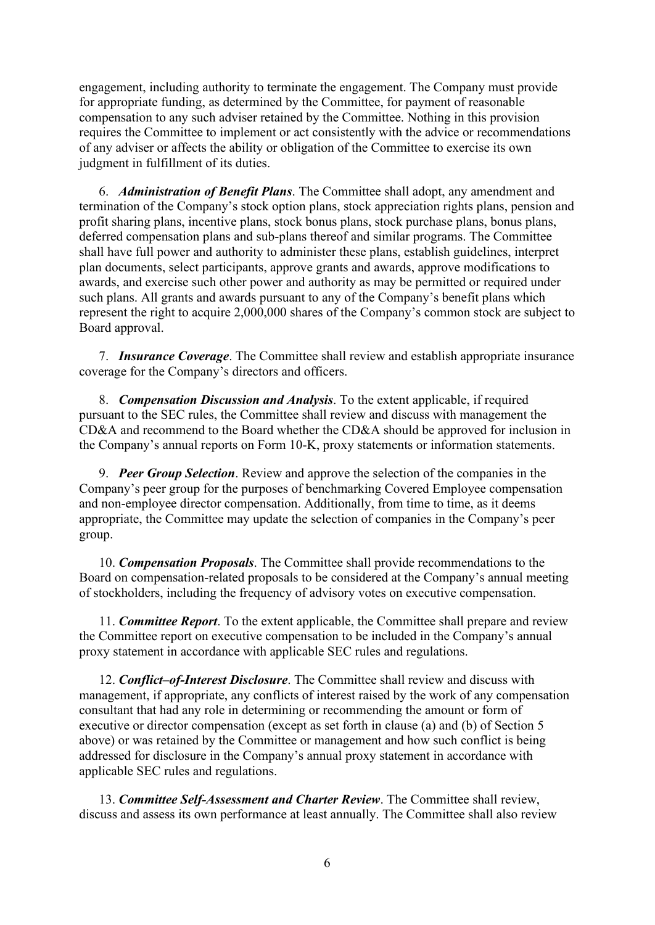engagement, including authority to terminate the engagement. The Company must provide for appropriate funding, as determined by the Committee, for payment of reasonable compensation to any such adviser retained by the Committee. Nothing in this provision requires the Committee to implement or act consistently with the advice or recommendations of any adviser or affects the ability or obligation of the Committee to exercise its own judgment in fulfillment of its duties.

6. *Administration of Benefit Plans*. The Committee shall adopt, any amendment and termination of the Company's stock option plans, stock appreciation rights plans, pension and profit sharing plans, incentive plans, stock bonus plans, stock purchase plans, bonus plans, deferred compensation plans and sub-plans thereof and similar programs. The Committee shall have full power and authority to administer these plans, establish guidelines, interpret plan documents, select participants, approve grants and awards, approve modifications to awards, and exercise such other power and authority as may be permitted or required under such plans. All grants and awards pursuant to any of the Company's benefit plans which represent the right to acquire 2,000,000 shares of the Company's common stock are subject to Board approval.

7. *Insurance Coverage*. The Committee shall review and establish appropriate insurance coverage for the Company's directors and officers.

8. *Compensation Discussion and Analysis*. To the extent applicable, if required pursuant to the SEC rules, the Committee shall review and discuss with management the CD&A and recommend to the Board whether the CD&A should be approved for inclusion in the Company's annual reports on Form 10-K, proxy statements or information statements.

9. *Peer Group Selection*. Review and approve the selection of the companies in the Company's peer group for the purposes of benchmarking Covered Employee compensation and non-employee director compensation. Additionally, from time to time, as it deems appropriate, the Committee may update the selection of companies in the Company's peer group.

10. *Compensation Proposals*. The Committee shall provide recommendations to the Board on compensation-related proposals to be considered at the Company's annual meeting of stockholders, including the frequency of advisory votes on executive compensation.

11. *Committee Report*. To the extent applicable, the Committee shall prepare and review the Committee report on executive compensation to be included in the Company's annual proxy statement in accordance with applicable SEC rules and regulations.

12. *Conflict–of-Interest Disclosure*. The Committee shall review and discuss with management, if appropriate, any conflicts of interest raised by the work of any compensation consultant that had any role in determining or recommending the amount or form of executive or director compensation (except as set forth in clause (a) and (b) of Section 5 above) or was retained by the Committee or management and how such conflict is being addressed for disclosure in the Company's annual proxy statement in accordance with applicable SEC rules and regulations.

13. *Committee Self-Assessment and Charter Review*. The Committee shall review, discuss and assess its own performance at least annually. The Committee shall also review